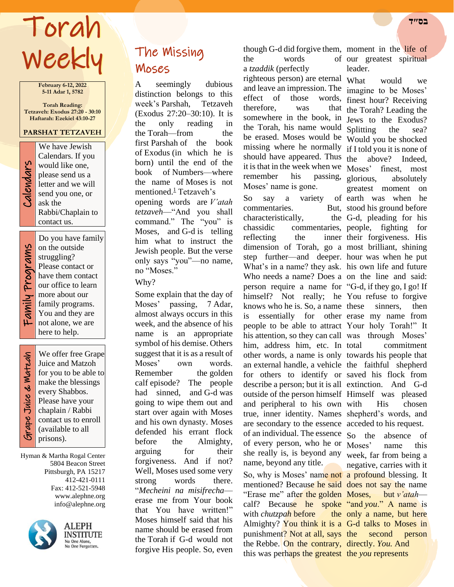# Torah **בס״ד**  Weekly

**February 6-12, 2022 5-11 Adar 1, 5782**

**Torah Reading: Tetzaveh: Exodus 27:20 - 30:10 Haftarah: Ezekiel 43:10-27**

## **PARSHAT TETZAVEH**

We have Jewish Calendars. If you would like one, please send us a letter and we will send you one, or ask the Rabbi/Chaplain to contact us.

Calendars

Do you have family on the outside struggling? Please contact or have them contact our office to learn more about our family programs. You and they are not alone, we are here to help.

Grape Juice & Matzah Grape Juice & Watzah

٦

We offer free Grape Juice and Matzoh for you to be able to make the blessings every Shabbos. Please have your chaplain / Rabbi contact us to enroll (available to all prisons).

Hyman & Martha Rogal Center 5804 Beacon Street Pittsburgh, PA 15217 412-421-0111 Fax: 412-521-5948 www.alephne.org info@alephne.org



**ALEPH** INSTITUTE No One Alone,<br>No One Forgotten

# The Missing Moses

A seemingly dubious distinction belongs to this week's Parshah, Tetzaveh (Exodus 27:20–30:10). It is the only reading in the Torah—from the first Parshah of the book of Exodus (in which he is born) until the end of the book of Numbers—where the name of Moses is not mentioned. $\frac{1}{2}$  Tetzaveh's opening words are *V'atah tetzaveh*—"And you shall command." The "you" is Moses, and G-d is telling him what to instruct the Jewish people. But the verse only says "you"—no name, no "Moses."

## Why?

Some explain that the day of Moses' passing, 7 Adar, almost always occurs in this week, and the absence of his name is an appropriate symbol of his demise. Others suggest that it is as a result of Moses' own words. Remember the golden calf episode? The people had sinned, and G-d was going to wipe them out and start over again with Moses and his own dynasty. Moses defended his errant flock before the Almighty, arguing for their forgiveness. And if not? Well, Moses used some very strong words there. "*Mecheini na misifrecha* erase me from Your book that You have written!" Moses himself said that his name should be erased from the Torah if G-d would not forgive His people. So, even

though G-d did forgive them, moment in the life of

the words a *tzaddik* (perfectly righteous person) are eternal What and leave an impression. The effect of those therefore. was somewhere in the book, in Jews to the Exodus? the Torah, his name would Splitting be erased. Moses would be missing where he normally  $if I told you it is none of$ should have appeared. Thus the it is that in the week when we Moses' remember his passing, glorious, absolutely Moses' name is gone.

So say a variety commentaries. characteristically, chassidic commentaries, people, fighting for reflecting the dimension of Torah, go a most brilliant, shining step further—and deeper. hour was when he put What's in a name? they ask. his own life and future Who needs a name? Does a on the line and said: person require a name for "G-d, if they go, I go! If himself? Not really; he You refuse to forgive knows who he is. So, a name is essentially for other erase my name from people to be able to attract Your holy Torah!" It his attention, so they can call was through Moses' him, address him, etc. In total other words, a name is only towards his people that an external handle, a vehicle the faithful shepherd for others to identify or saved his flock from describe a person; but it is all extinction. And G-d outside of the person himself Himself was pleased and peripheral to his own true, inner identity. Names shepherd's words, and are secondary to the essence acceded to his request. of an individual. The essence  $S_0$  the of every person, who he or she really is, is beyond any name, beyond any title. So, why is Moses' name not a profound blessing. It mentioned? Because he said does not say the name "Erase me" after the golden Moses, calf? Because he spoke "and *you*." A name is with *chutzpah* before Almighty? You think it is a G-d talks to Moses in punishment? Not at all, says the the Rebbe. On the contrary, directly. *You.* And this was perhaps the greatest the *you* represents

of our greatest spiritual leader.

What would we imagine to be Moses' words, finest hour? Receiving the Torah? Leading the Splitting the sea? Would you be shocked above? Indeed, finest, most greatest moment on of earth was when he But, stood his ground before G-d, pleading for his inner their forgiveness. His sinners, then commitment His chosen

> absence of Moses' name this week, far from being a negative, carries with it but *v'atah* the only a name, but here second person